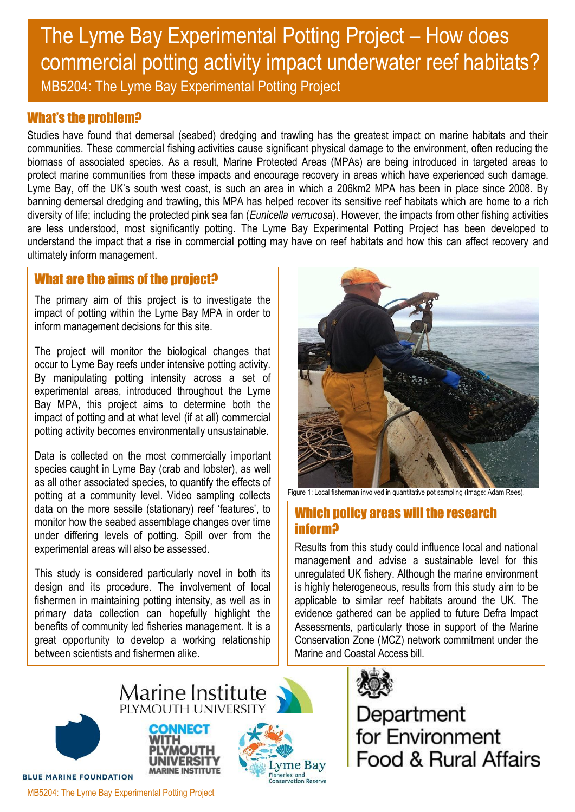# The Lyme Bay Experimental Potting Project – How does commercial potting activity impact underwater reef habitats? MB5204: The Lyme Bay Experimental Potting Project

# What's the problem?

Studies have found that demersal (seabed) dredging and trawling has the greatest impact on marine habitats and their communities. These commercial fishing activities cause significant physical damage to the environment, often reducing the biomass of associated species. As a result, Marine Protected Areas (MPAs) are being introduced in targeted areas to protect marine communities from these impacts and encourage recovery in areas which have experienced such damage. Lyme Bay, off the UK's south west coast, is such an area in which a 206km2 MPA has been in place since 2008. By banning demersal dredging and trawling, this MPA has helped recover its sensitive reef habitats which are home to a rich diversity of life; including the protected pink sea fan (*Eunicella verrucosa*). However, the impacts from other fishing activities are less understood, most significantly potting. The Lyme Bay Experimental Potting Project has been developed to understand the impact that a rise in commercial potting may have on reef habitats and how this can affect recovery and ultimately inform management.

# What are the aims of the project?

The primary aim of this project is to investigate the impact of potting within the Lyme Bay MPA in order to inform management decisions for this site.

The project will monitor the biological changes that occur to Lyme Bay reefs under intensive potting activity. By manipulating potting intensity across a set of experimental areas, introduced throughout the Lyme Bay MPA, this project aims to determine both the impact of potting and at what level (if at all) commercial potting activity becomes environmentally unsustainable.

Data is collected on the most commercially important species caught in Lyme Bay (crab and lobster), as well as all other associated species, to quantify the effects of potting at a community level. Video sampling collects data on the more sessile (stationary) reef 'features', to monitor how the seabed assemblage changes over time under differing levels of potting. Spill over from the experimental areas will also be assessed.

This study is considered particularly novel in both its design and its procedure. The involvement of local fishermen in maintaining potting intensity, as well as in primary data collection can hopefully highlight the benefits of community led fisheries management. It is a great opportunity to develop a working relationship between scientists and fishermen alike.



Figure 1: Local fisherman involved in quantitative pot sampling (Image: Adam Rees).

# Which policy areas will the research inform?

Results from this study could influence local and national management and advise a sustainable level for this unregulated UK fishery. Although the marine environment is highly heterogeneous, results from this study aim to be applicable to similar reef habitats around the UK. The evidence gathered can be applied to future Defra Impact Assessments, particularly those in support of the Marine Conservation Zone (MCZ) network commitment under the Marine and Coastal Access bill.



Department<br>for Environment Food & Rural Affairs



**BLUE MARINE FOUNDATION** 



Marine Institute